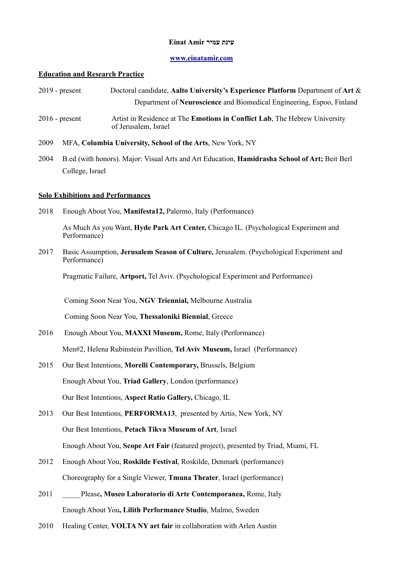### **עינת עמיר Amir Einat**

## **[www.einatamir.com](http://www.einatamir.com/)**

# **Education and Research Practice**

|      | Doctoral candidate, Aalto University's Experience Platform Department of Art &<br>$2019$ - present                     |
|------|------------------------------------------------------------------------------------------------------------------------|
|      | Department of Neuroscience and Biomedical Engineering, Espoo, Finland                                                  |
|      | Artist in Residence at The Emotions in Conflict Lab, The Hebrew University<br>$2016$ - present<br>of Jerusalem, Israel |
| 2009 | MFA, Columbia University, School of the Arts, New York, NY                                                             |
| 2004 | B.ed (with honors). Major: Visual Arts and Art Education, <b>Hamidrasha School of Art;</b> Beit Berl                   |
|      | College, Israel                                                                                                        |
|      | <b>Solo Exhibitions and Performances</b>                                                                               |
| 2018 | Enough About You, Manifesta12, Palermo, Italy (Performance)                                                            |
|      | As Much As you Want, Hyde Park Art Center, Chicago IL. (Psychological Experiment and<br>Performance)                   |
| 2017 | Basic Assumption, Jerusalem Season of Culture, Jerusalem. (Psychological Experiment and<br>Performance)                |
|      | Pragmatic Failure, Artport, Tel Aviv. (Psychological Experiment and Performance)                                       |
|      | Coming Soon Near You, NGV Triennial, Melbourne Australia                                                               |
|      | Coming Soon Near You, Thessaloniki Biennial, Greece                                                                    |
| 2016 | Enough About You, MAXXI Museum, Rome, Italy (Performance)                                                              |
|      | Men#2, Helena Rubinstein Pavillion, Tel Aviv Museum, Israel (Performance)                                              |
| 2015 | Our Best Intentions, Morelli Contemporary, Brussels, Belgium                                                           |
|      | Enough About You, Triad Gallery, London (performance)                                                                  |
|      | Our Best Intentions, Aspect Ratio Gallery, Chicago, IL                                                                 |
| 2013 | Our Best Intentions, PERFORMA13, presented by Artis, New York, NY                                                      |
|      | Our Best Intentions, Petach Tikva Museum of Art, Israel                                                                |
|      | Enough About You, Scope Art Fair (featured project), presented by Triad, Miami, FL                                     |
| 2012 | Enough About You, Roskilde Festival, Roskilde, Denmark (performance)                                                   |
|      | Choreography for a Single Viewer, Tmuna Theater, Israel (performance)                                                  |
| 2011 | Please, Museo Laboratorio di Arte Contemporanea, Rome, Italy                                                           |
|      | Enough About You, Lilith Performance Studio, Malmo, Sweden                                                             |

2010 Healing Center, **VOLTA NY art fair** in collaboration with Arlen Austin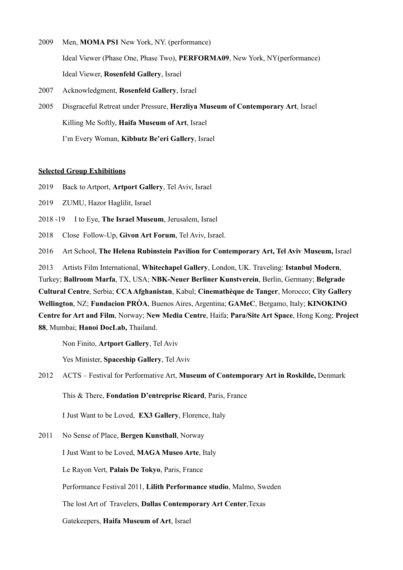- 2009 Men, **MOMA PS1** New York, NY. (performance) Ideal Viewer (Phase One, Phase Two), **PERFORMA09**, New York, NY(performance) Ideal Viewer, **Rosenfeld Gallery**, Israel
- 2007 Acknowledgment, **Rosenfeld Gallery**, Israel
- 2005 Disgraceful Retreat under Pressure, **Herzliya Museum of Contemporary Art**, Israel Killing Me Softly, **Haifa Museum of Art**, Israel I'm Every Woman, **Kibbutz Be'eri Gallery**, Israel

### **Selected Group Exhibitions**

- 2019 Back to Artport, **Artport Gallery**, Tel Aviv, Israel
- 2019 ZUMU, Hazor Haglilit, Israel
- 2018 -19 I to Eye, **The Israel Museum**, Jerusalem, Israel
- 2018 Close Follow-Up, **Givon Art Forum**, Tel Aviv, Israel.
- 2016 Art School, **The Helena Rubinstein Pavilion for Contemporary Art, Tel Aviv Museum,** Israel

2013 Artists Film International, **Whitechapel Gallery**, London, UK. Traveling: **Istanbul Modern**, Turkey; **Ballroom Marfa**, TX, USA; **NBK-Neuer Berliner Kunstverein**, Berlin, Germany; **Belgrade Cultural Centre**, Serbia; **CCA Afghanistan**, Kabul; **Cinemathèque de Tanger**, Morocco; **City Gallery Wellington**, NZ; **Fundacion PRÒA**, Buenos Aires, Argentina; **GAMeC**, Bergamo, Italy; **KINOKINO Centre for Art and Film**, Norway; **New Media Centre**, Haifa; **Para/Site Art Space**, Hong Kong; **Project 88**, Mumbai; **Hanoi DocLab,** Thailand.

Non Finito, **Artport Gallery**, Tel Aviv

Yes Minister, **Spaceship Gallery**, Tel Aviv

2012 ACTS – Festival for Performative Art, **Museum of Contemporary Art in Roskilde,** Denmark

This & There, **Fondation D'entreprise Ricard**, Paris, France

I Just Want to be Loved, **EX3 Gallery**, Florence, Italy

2011 No Sense of Place, **Bergen Kunsthall**, Norway

I Just Want to be Loved, **MAGA Museo Arte**, Italy

Le Rayon Vert, **Palais De Tokyo**, Paris, France

Performance Festival 2011, **Lilith Performance studio**, Malmo, Sweden

The lost Art of Travelers, **Dallas Contemporary Art Center**,Texas

Gatekeepers, **Haifa Museum of Art**, Israel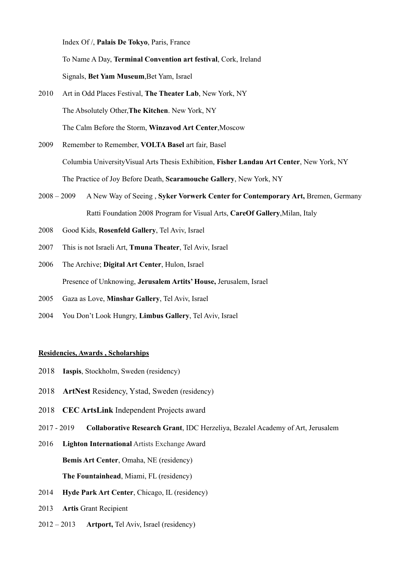Index Of /, **Palais De Tokyo**, Paris, France

 To Name A Day, **Terminal Convention art festival**, Cork, Ireland Signals, **Bet Yam Museum**,Bet Yam, Israel

- 2010 Art in Odd Places Festival, **The Theater Lab**, New York, NY The Absolutely Other,**The Kitchen**. New York, NY The Calm Before the Storm, **Winzavod Art Center**,Moscow
- 2009 Remember to Remember, **VOLTA Basel** art fair, Basel Columbia UniversityVisual Arts Thesis Exhibition, **Fisher Landau Art Center**, New York, NY The Practice of Joy Before Death, **Scaramouche Gallery**, New York, NY
- 2008 2009 A New Way of Seeing , **Syker Vorwerk Center for Contemporary Art,** Bremen, Germany Ratti Foundation 2008 Program for Visual Arts, **CareOf Gallery**,Milan, Italy
- 2008 Good Kids, **Rosenfeld Gallery**, Tel Aviv, Israel
- 2007 This is not Israeli Art, **Tmuna Theater**, Tel Aviv, Israel
- 2006 The Archive; **Digital Art Center**, Hulon, Israel Presence of Unknowing, **Jerusalem Artits' House,** Jerusalem, Israel
- 2005 Gaza as Love, **Minshar Gallery**, Tel Aviv, Israel
- 2004 You Don't Look Hungry, **Limbus Gallery**, Tel Aviv, Israel

#### **Residencies, Awards , Scholarships**

- 2018 **Iaspis**, Stockholm, Sweden (residency)
- 2018 **ArtNest** Residency, Ystad, Sweden (residency)
- 2018 **CEC ArtsLink** Independent Projects award
- 2017 2019 **Collaborative Research Grant**, IDC Herzeliya, Bezalel Academy of Art, Jerusalem
- 2016 **Lighton International** Artists Exchange Award **Bemis Art Center**, Omaha, NE (residency) **The Fountainhead**, Miami, FL (residency)
- 2014 **Hyde Park Art Center**, Chicago, IL (residency)
- 2013 **Artis** Grant Recipient
- 2012 2013 **Artport,** Tel Aviv, Israel (residency)